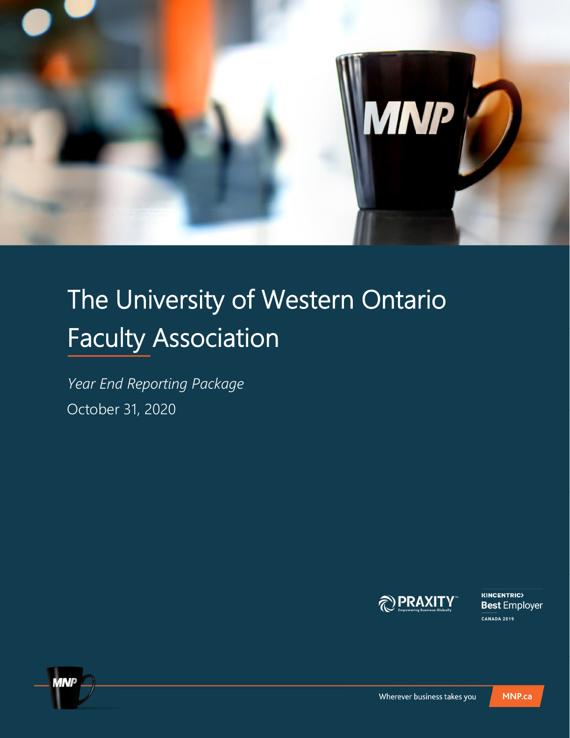

# The University of Western Ontario Faculty Association

*Year End Reporting Package* October 31, 2020



**KINCENTRIC> Best Employer**  $CANADA$  2019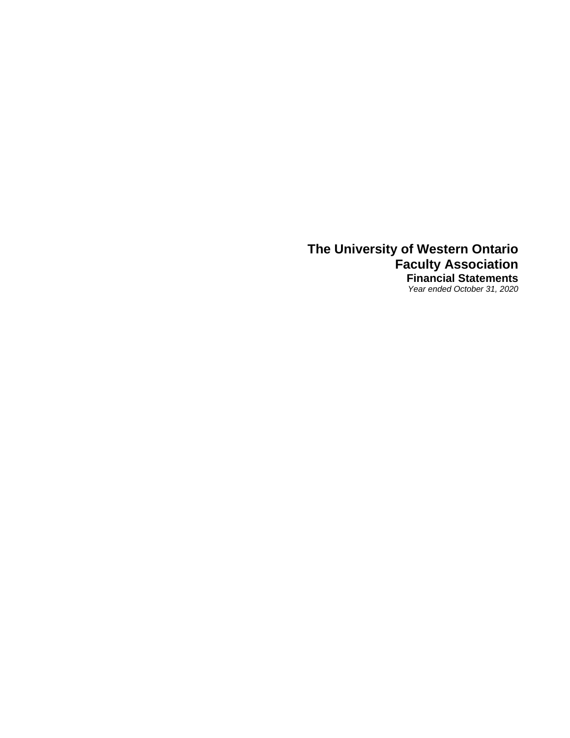**The University of Western Ontario Faculty Association Financial Statements**  *Year ended October 31, 2020*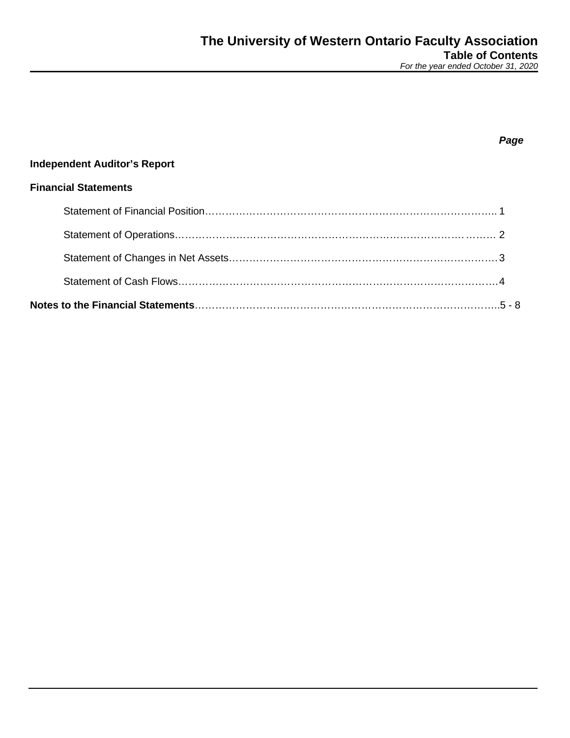| <b>Independent Auditor's Report</b> |  |
|-------------------------------------|--|
| <b>Financial Statements</b>         |  |
|                                     |  |
|                                     |  |
|                                     |  |
|                                     |  |
|                                     |  |

### *Page*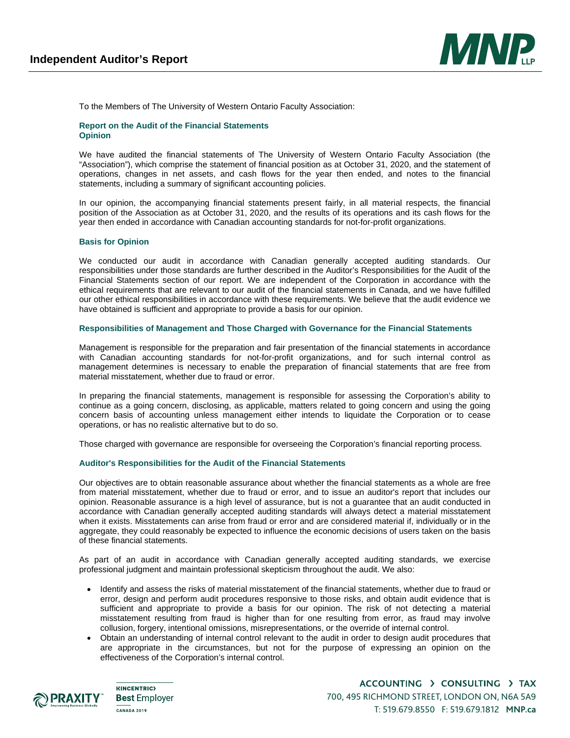

To the Members of The University of Western Ontario Faculty Association:

#### **Report on the Audit of the Financial Statements Opinion**

We have audited the financial statements of The University of Western Ontario Faculty Association (the "Association"), which comprise the statement of financial position as at October 31, 2020, and the statement of operations, changes in net assets, and cash flows for the year then ended, and notes to the financial statements, including a summary of significant accounting policies.

In our opinion, the accompanying financial statements present fairly, in all material respects, the financial position of the Association as at October 31, 2020, and the results of its operations and its cash flows for the year then ended in accordance with Canadian accounting standards for not-for-profit organizations.

#### **Basis for Opinion**

We conducted our audit in accordance with Canadian generally accepted auditing standards. Our responsibilities under those standards are further described in the Auditor's Responsibilities for the Audit of the Financial Statements section of our report. We are independent of the Corporation in accordance with the ethical requirements that are relevant to our audit of the financial statements in Canada, and we have fulfilled our other ethical responsibilities in accordance with these requirements. We believe that the audit evidence we have obtained is sufficient and appropriate to provide a basis for our opinion.

#### **Responsibilities of Management and Those Charged with Governance for the Financial Statements**

Management is responsible for the preparation and fair presentation of the financial statements in accordance with Canadian accounting standards for not-for-profit organizations, and for such internal control as management determines is necessary to enable the preparation of financial statements that are free from material misstatement, whether due to fraud or error.

In preparing the financial statements, management is responsible for assessing the Corporation's ability to continue as a going concern, disclosing, as applicable, matters related to going concern and using the going concern basis of accounting unless management either intends to liquidate the Corporation or to cease operations, or has no realistic alternative but to do so.

Those charged with governance are responsible for overseeing the Corporation's financial reporting process.

#### **Auditor's Responsibilities for the Audit of the Financial Statements**

Our objectives are to obtain reasonable assurance about whether the financial statements as a whole are free from material misstatement, whether due to fraud or error, and to issue an auditor's report that includes our opinion. Reasonable assurance is a high level of assurance, but is not a guarantee that an audit conducted in accordance with Canadian generally accepted auditing standards will always detect a material misstatement when it exists. Misstatements can arise from fraud or error and are considered material if, individually or in the aggregate, they could reasonably be expected to influence the economic decisions of users taken on the basis of these financial statements.

As part of an audit in accordance with Canadian generally accepted auditing standards, we exercise professional judgment and maintain professional skepticism throughout the audit. We also:

- Identify and assess the risks of material misstatement of the financial statements, whether due to fraud or error, design and perform audit procedures responsive to those risks, and obtain audit evidence that is sufficient and appropriate to provide a basis for our opinion. The risk of not detecting a material misstatement resulting from fraud is higher than for one resulting from error, as fraud may involve collusion, forgery, intentional omissions, misrepresentations, or the override of internal control.
- Obtain an understanding of internal control relevant to the audit in order to design audit procedures that are appropriate in the circumstances, but not for the purpose of expressing an opinion on the effectiveness of the Corporation's internal control.



**KINCENTRIC> Best** Employer **CANADA 2019** 

ACCOUNTING > CONSULTING > TAX 700, 495 RICHMOND STREET, LONDON ON, N6A 5A9 T: 519.679.8550 F: 519.679.1812 **MNP.ca**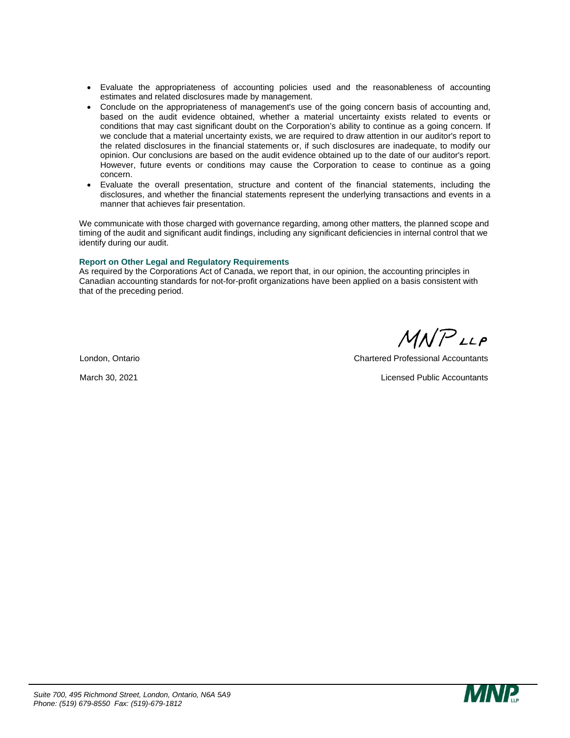- Evaluate the appropriateness of accounting policies used and the reasonableness of accounting estimates and related disclosures made by management.
- Conclude on the appropriateness of management's use of the going concern basis of accounting and, based on the audit evidence obtained, whether a material uncertainty exists related to events or conditions that may cast significant doubt on the Corporation's ability to continue as a going concern. If we conclude that a material uncertainty exists, we are required to draw attention in our auditor's report to the related disclosures in the financial statements or, if such disclosures are inadequate, to modify our opinion. Our conclusions are based on the audit evidence obtained up to the date of our auditor's report. However, future events or conditions may cause the Corporation to cease to continue as a going concern.
- Evaluate the overall presentation, structure and content of the financial statements, including the disclosures, and whether the financial statements represent the underlying transactions and events in a manner that achieves fair presentation.

We communicate with those charged with governance regarding, among other matters, the planned scope and timing of the audit and significant audit findings, including any significant deficiencies in internal control that we identify during our audit.

#### **Report on Other Legal and Regulatory Requirements**

As required by the Corporations Act of Canada, we report that, in our opinion, the accounting principles in Canadian accounting standards for not-for-profit organizations have been applied on a basis consistent with that of the preceding period.

 $MNPLLP$ 

London, Ontario Chartered Professional Accountants

March 30, 2021 **Licensed Public Accountants** 

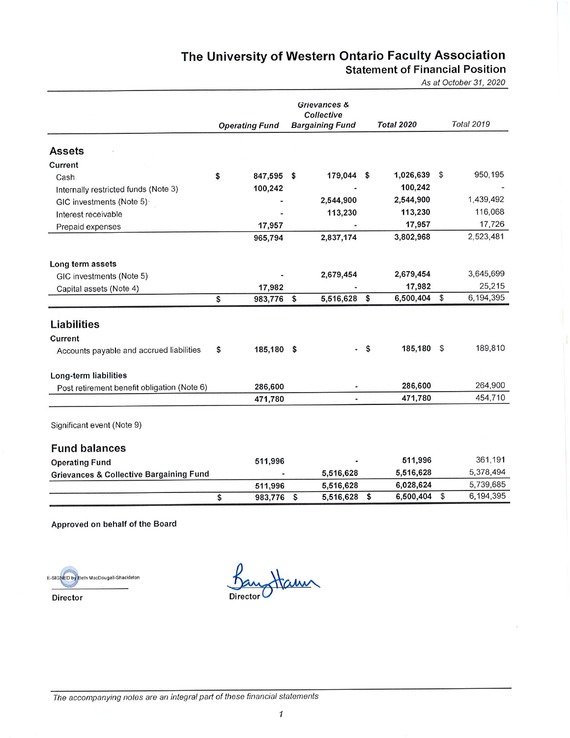## The University of Western Ontario Faculty Association **Statement of Financial Position**

As at October 31, 2020

|                                                    |                       | Grievances &<br>Collective |                   |                |                   |
|----------------------------------------------------|-----------------------|----------------------------|-------------------|----------------|-------------------|
|                                                    | <b>Operating Fund</b> | <b>Bargaining Fund</b>     | <b>Total 2020</b> |                | <b>Total 2019</b> |
| <b>Assets</b>                                      |                       |                            |                   |                |                   |
|                                                    |                       |                            |                   |                |                   |
| Current                                            |                       |                            |                   |                |                   |
| Cash                                               | \$<br>847,595 \$      | 179,044 \$                 | 1,026,639         | \$             | 950,195           |
| Internally restricted funds (Note 3)               | 100,242               |                            | 100,242           |                |                   |
| GIC investments (Note 5)                           |                       | 2,544,900                  | 2,544,900         |                | 1,439,492         |
| Interest receivable                                |                       | 113,230                    | 113,230           |                | 116,068           |
| Prepaid expenses                                   | 17,957                |                            | 17,957            |                | 17,726            |
|                                                    | 965,794               | 2,837,174                  | 3,802,968         |                | 2,523,481         |
| Long term assets                                   |                       |                            |                   |                |                   |
| GIC investments (Note 5)                           |                       | 2,679,454                  | 2,679,454         |                | 3,645,699         |
| Capital assets (Note 4)                            | 17,982                |                            | 17,982            |                | 25,215            |
|                                                    | \$<br>983,776         | \$<br>5,516,628            | \$<br>6,500,404   | $\mathfrak{S}$ | 6,194,395         |
| <b>Liabilities</b>                                 |                       |                            |                   |                |                   |
|                                                    |                       |                            |                   |                |                   |
| Current                                            | \$<br>185,180 \$      |                            | \$<br>185,180     | <b>S</b>       | 189,810           |
| Accounts payable and accrued liabilities           |                       |                            |                   |                |                   |
| Long-term liabilities                              |                       |                            |                   |                |                   |
| Post retirement benefit obligation (Note 6)        | 286,600               |                            | 286,600           |                | 264,900           |
|                                                    | 471,780               | $\blacksquare$             | 471,780           |                | 454,710           |
|                                                    |                       |                            |                   |                |                   |
| Significant event (Note 9)                         |                       |                            |                   |                |                   |
| <b>Fund balances</b>                               |                       |                            |                   |                |                   |
| <b>Operating Fund</b>                              | 511,996               |                            | 511,996           |                | 361,191           |
| <b>Grievances &amp; Collective Bargaining Fund</b> |                       | 5,516,628                  | 5,516,628         |                | 5,378,494         |
|                                                    | 511,996               | 5,516,628                  | 6,028,624         |                | 5,739,685         |
|                                                    | \$<br>983,776         | \$<br>5,516,628            | \$<br>6,500,404   | \$             | 6,194,395         |

Approved on behalf of the Board

E-SIGNED by Beth MacDougall-Shackleton

Director

Ham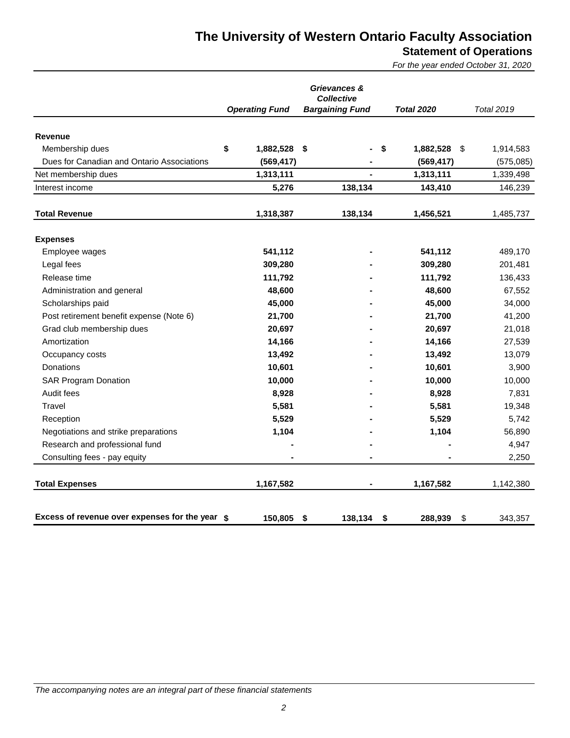## **The University of Western Ontario Faculty Association**

**Statement of Operations**

*For the year ended October 31, 2020*

|                                            | <b>Operating Fund</b> | Grievances &<br><b>Collective</b><br><b>Bargaining Fund</b> | <b>Total 2020</b>       | <b>Total 2019</b> |
|--------------------------------------------|-----------------------|-------------------------------------------------------------|-------------------------|-------------------|
|                                            |                       |                                                             |                         |                   |
| <b>Revenue</b>                             |                       |                                                             |                         |                   |
| Membership dues                            | \$<br>1,882,528 \$    |                                                             | \$<br>1,882,528<br>- \$ | 1,914,583         |
| Dues for Canadian and Ontario Associations | (569, 417)            |                                                             | (569, 417)              | (575,085)         |
| Net membership dues                        | 1,313,111             | $\blacksquare$                                              | 1,313,111               | 1,339,498         |
| Interest income                            | 5,276                 | 138,134                                                     | 143,410                 | 146,239           |
| <b>Total Revenue</b>                       | 1,318,387             | 138,134                                                     | 1,456,521               | 1,485,737         |
| <b>Expenses</b>                            |                       |                                                             |                         |                   |
| Employee wages                             | 541,112               |                                                             | 541,112                 | 489,170           |
| Legal fees                                 | 309,280               |                                                             | 309,280                 | 201,481           |
| Release time                               | 111,792               |                                                             | 111,792                 | 136,433           |
| Administration and general                 | 48,600                |                                                             | 48,600                  | 67,552            |
| Scholarships paid                          | 45,000                |                                                             | 45,000                  | 34,000            |
| Post retirement benefit expense (Note 6)   | 21,700                |                                                             | 21,700                  | 41,200            |
| Grad club membership dues                  | 20,697                |                                                             | 20,697                  | 21,018            |
| Amortization                               | 14,166                |                                                             | 14,166                  | 27,539            |
| Occupancy costs                            | 13,492                |                                                             | 13,492                  | 13,079            |
| Donations                                  | 10,601                |                                                             | 10,601                  | 3,900             |
| <b>SAR Program Donation</b>                | 10,000                |                                                             | 10,000                  | 10,000            |
| Audit fees                                 | 8,928                 |                                                             | 8,928                   | 7,831             |
| Travel                                     | 5,581                 |                                                             | 5,581                   | 19,348            |
| Reception                                  | 5,529                 |                                                             | 5,529                   | 5,742             |
| Negotiations and strike preparations       | 1,104                 |                                                             | 1,104                   | 56,890            |
| Research and professional fund             |                       |                                                             |                         | 4,947             |
| Consulting fees - pay equity               |                       |                                                             |                         | 2,250             |
| <b>Total Expenses</b>                      | 1,167,582             |                                                             | 1,167,582               | 1,142,380         |

*The accompanying notes are an integral part of these financial statements*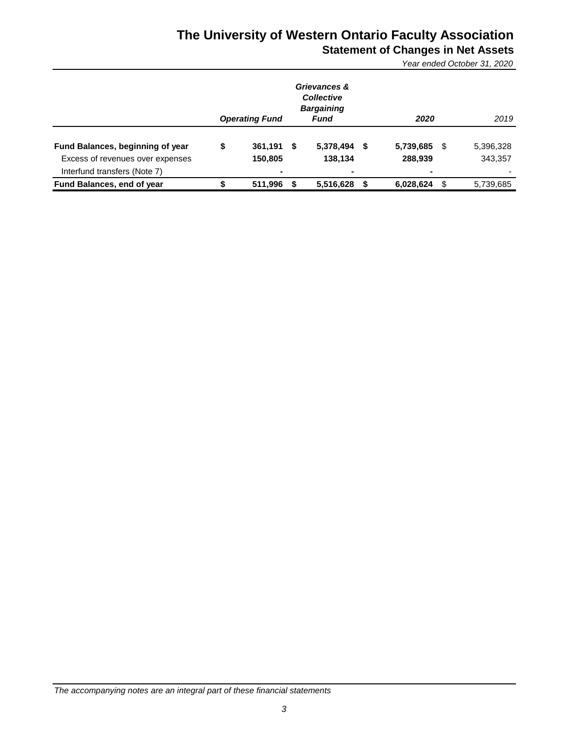## **The University of Western Ontario Faculty Association Statement of Changes in Net Assets**

*Year ended October 31, 2020*

|                                  |                       | Grievances &<br><b>Collective</b><br><b>Bargaining</b> |   |           |      |           |
|----------------------------------|-----------------------|--------------------------------------------------------|---|-----------|------|-----------|
|                                  | <b>Operating Fund</b> | Fund                                                   |   | 2020      |      | 2019      |
| Fund Balances, beginning of year | \$<br>$361,191$ \$    | 5,378,494 \$                                           |   | 5,739,685 | - \$ | 5,396,328 |
| Excess of revenues over expenses | 150,805               | 138,134                                                |   | 288,939   |      | 343,357   |
| Interfund transfers (Note 7)     |                       | $\blacksquare$                                         |   |           |      |           |
| Fund Balances, end of year       | 511.996               | 5,516,628                                              | S | 6,028,624 |      | 5,739,685 |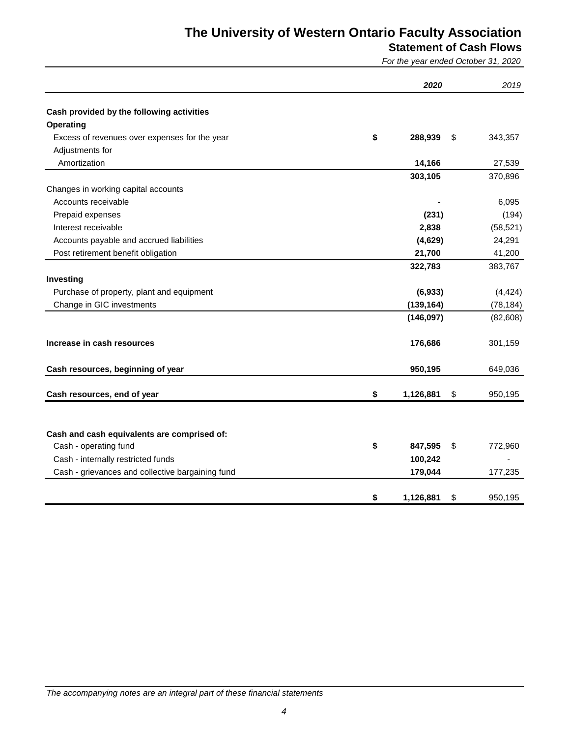## **The University of Western Ontario Faculty Association**

**Statement of Cash Flows**

*For the year ended October 31, 2020*

|                                                  | 2020            | 2019          |
|--------------------------------------------------|-----------------|---------------|
| Cash provided by the following activities        |                 |               |
| Operating                                        |                 |               |
| Excess of revenues over expenses for the year    | \$<br>288,939   | \$<br>343,357 |
| Adjustments for                                  |                 |               |
| Amortization                                     | 14,166          | 27,539        |
|                                                  | 303,105         | 370,896       |
| Changes in working capital accounts              |                 |               |
| Accounts receivable                              |                 | 6,095         |
| Prepaid expenses                                 | (231)           | (194)         |
| Interest receivable                              | 2,838           | (58, 521)     |
| Accounts payable and accrued liabilities         | (4,629)         | 24,291        |
| Post retirement benefit obligation               | 21,700          | 41,200        |
|                                                  | 322,783         | 383,767       |
| Investing                                        |                 |               |
| Purchase of property, plant and equipment        | (6,933)         | (4, 424)      |
| Change in GIC investments                        | (139, 164)      | (78, 184)     |
|                                                  | (146, 097)      | (82, 608)     |
| Increase in cash resources                       | 176,686         | 301,159       |
| Cash resources, beginning of year                | 950,195         | 649,036       |
| Cash resources, end of year                      | \$<br>1,126,881 | \$<br>950,195 |
|                                                  |                 |               |
| Cash and cash equivalents are comprised of:      |                 |               |
| Cash - operating fund                            | \$<br>847,595   | \$<br>772,960 |
| Cash - internally restricted funds               | 100,242         |               |
| Cash - grievances and collective bargaining fund | 179,044         | 177,235       |
|                                                  | \$<br>1,126,881 | \$<br>950,195 |
|                                                  |                 |               |

*The accompanying notes are an integral part of these financial statements*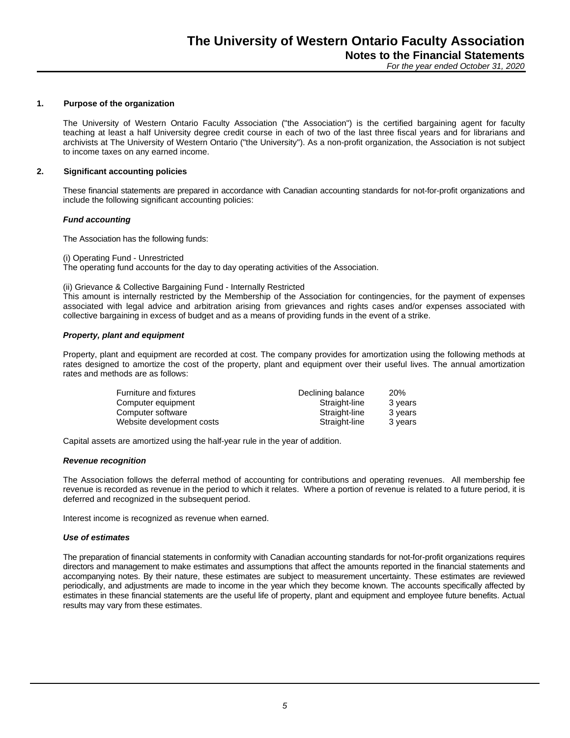#### **1. Purpose of the organization**

The University of Western Ontario Faculty Association ("the Association") is the certified bargaining agent for faculty teaching at least a half University degree credit course in each of two of the last three fiscal years and for librarians and archivists at The University of Western Ontario ("the University"). As a non-profit organization, the Association is not subject to income taxes on any earned income.

#### **2. Significant accounting policies**

These financial statements are prepared in accordance with Canadian accounting standards for not-for-profit organizations and include the following significant accounting policies:

#### *Fund accounting*

The Association has the following funds:

(i) Operating Fund - Unrestricted

The operating fund accounts for the day to day operating activities of the Association.

#### (ii) Grievance & Collective Bargaining Fund - Internally Restricted

This amount is internally restricted by the Membership of the Association for contingencies, for the payment of expenses associated with legal advice and arbitration arising from grievances and rights cases and/or expenses associated with collective bargaining in excess of budget and as a means of providing funds in the event of a strike.

#### *Property, plant and equipment*

Property, plant and equipment are recorded at cost. The company provides for amortization using the following methods at rates designed to amortize the cost of the property, plant and equipment over their useful lives. The annual amortization rates and methods are as follows:

| <b>Furniture and fixtures</b> | Declining balance | <b>20%</b> |
|-------------------------------|-------------------|------------|
| Computer equipment            | Straight-line     | 3 years    |
| Computer software             | Straight-line     | 3 vears    |
| Website development costs     | Straight-line     | 3 vears    |

Capital assets are amortized using the half-year rule in the year of addition.

#### *Revenue recognition*

The Association follows the deferral method of accounting for contributions and operating revenues. All membership fee revenue is recorded as revenue in the period to which it relates. Where a portion of revenue is related to a future period, it is deferred and recognized in the subsequent period.

Interest income is recognized as revenue when earned.

#### *Use of estimates*

The preparation of financial statements in conformity with Canadian accounting standards for not-for-profit organizations requires directors and management to make estimates and assumptions that affect the amounts reported in the financial statements and accompanying notes. By their nature, these estimates are subject to measurement uncertainty. These estimates are reviewed periodically, and adjustments are made to income in the year which they become known. The accounts specifically affected by estimates in these financial statements are the useful life of property, plant and equipment and employee future benefits. Actual results may vary from these estimates.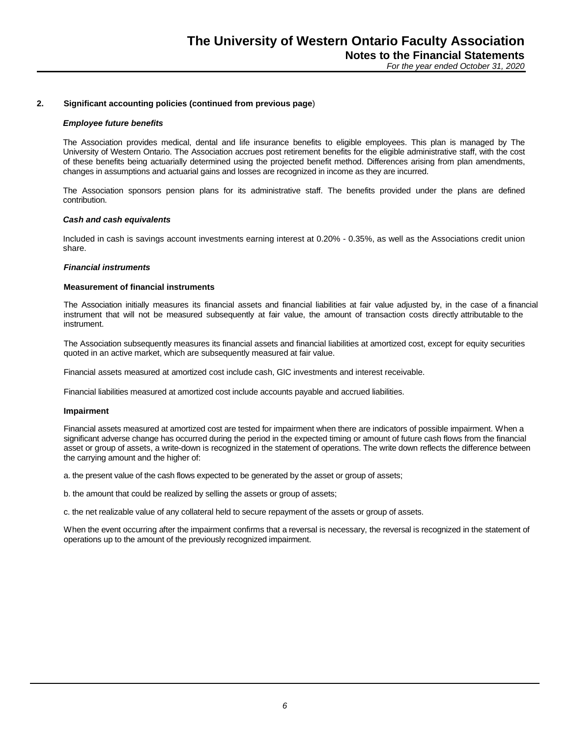#### **2. Significant accounting policies (continued from previous page**)

#### *Employee future benefits*

The Association provides medical, dental and life insurance benefits to eligible employees. This plan is managed by The University of Western Ontario. The Association accrues post retirement benefits for the eligible administrative staff, with the cost of these benefits being actuarially determined using the projected benefit method. Differences arising from plan amendments, changes in assumptions and actuarial gains and losses are recognized in income as they are incurred.

The Association sponsors pension plans for its administrative staff. The benefits provided under the plans are defined contribution.

#### *Cash and cash equivalents*

Included in cash is savings account investments earning interest at 0.20% - 0.35%, as well as the Associations credit union share.

#### *Financial instruments*

#### **Measurement of financial instruments**

The Association initially measures its financial assets and financial liabilities at fair value adjusted by, in the case of a financial instrument that will not be measured subsequently at fair value, the amount of transaction costs directly attributable to the instrument.

The Association subsequently measures its financial assets and financial liabilities at amortized cost, except for equity securities quoted in an active market, which are subsequently measured at fair value.

Financial assets measured at amortized cost include cash, GIC investments and interest receivable.

Financial liabilities measured at amortized cost include accounts payable and accrued liabilities.

#### **Impairment**

Financial assets measured at amortized cost are tested for impairment when there are indicators of possible impairment. When a significant adverse change has occurred during the period in the expected timing or amount of future cash flows from the financial asset or group of assets, a write-down is recognized in the statement of operations. The write down reflects the difference between the carrying amount and the higher of:

a. the present value of the cash flows expected to be generated by the asset or group of assets;

b. the amount that could be realized by selling the assets or group of assets;

c. the net realizable value of any collateral held to secure repayment of the assets or group of assets.

When the event occurring after the impairment confirms that a reversal is necessary, the reversal is recognized in the statement of operations up to the amount of the previously recognized impairment.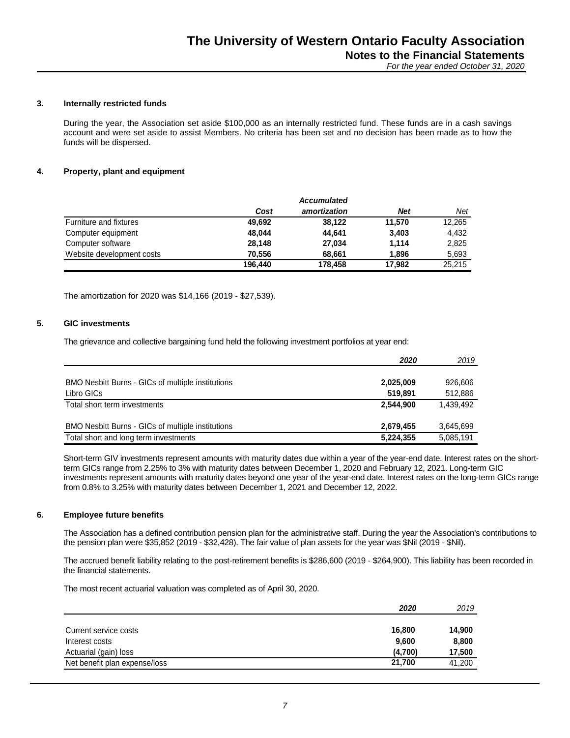#### **3. Internally restricted funds**

During the year, the Association set aside \$100,000 as an internally restricted fund. These funds are in a cash savings account and were set aside to assist Members. No criteria has been set and no decision has been made as to how the funds will be dispersed.

#### **4. Property, plant and equipment**

|                               |         | <b>Accumulated</b> |            |        |
|-------------------------------|---------|--------------------|------------|--------|
|                               | Cost    | amortization       | <b>Net</b> | Net    |
| <b>Furniture and fixtures</b> | 49,692  | 38.122             | 11.570     | 12.265 |
| Computer equipment            | 48.044  | 44.641             | 3,403      | 4.432  |
| Computer software             | 28,148  | 27.034             | 1.114      | 2,825  |
| Website development costs     | 70.556  | 68.661             | 1.896      | 5,693  |
|                               | 196,440 | 178,458            | 17.982     | 25.215 |

The amortization for 2020 was \$14,166 (2019 - \$27,539).

#### **5. GIC investments**

The grievance and collective bargaining fund held the following investment portfolios at year end:

|                                                          | 2020      | 2019      |
|----------------------------------------------------------|-----------|-----------|
| <b>BMO Nesbitt Burns - GICs of multiple institutions</b> | 2,025,009 | 926,606   |
| Libro GICs                                               | 519.891   | 512,886   |
| Total short term investments                             | 2.544.900 | 1.439.492 |
| BMO Nesbitt Burns - GICs of multiple institutions        | 2,679,455 | 3,645,699 |
| Total short and long term investments                    | 5,224,355 | 5,085,191 |

Short-term GIV investments represent amounts with maturity dates due within a year of the year-end date. Interest rates on the shortterm GICs range from 2.25% to 3% with maturity dates between December 1, 2020 and February 12, 2021. Long-term GIC investments represent amounts with maturity dates beyond one year of the year-end date. Interest rates on the long-term GICs range from 0.8% to 3.25% with maturity dates between December 1, 2021 and December 12, 2022.

#### **6. Employee future benefits**

The Association has a defined contribution pension plan for the administrative staff. During the year the Association's contributions to the pension plan were \$35,852 (2019 - \$32,428). The fair value of plan assets for the year was \$Nil (2019 - \$Nil).

The accrued benefit liability relating to the post-retirement benefits is \$286,600 (2019 - \$264,900). This liability has been recorded in the financial statements.

The most recent actuarial valuation was completed as of April 30, 2020.

|                               | 2020    | 2019   |
|-------------------------------|---------|--------|
|                               |         |        |
| Current service costs         | 16,800  | 14,900 |
| Interest costs                | 9,600   | 8,800  |
| Actuarial (gain) loss         | (4,700) | 17,500 |
| Net benefit plan expense/loss | 21.700  | 41.200 |